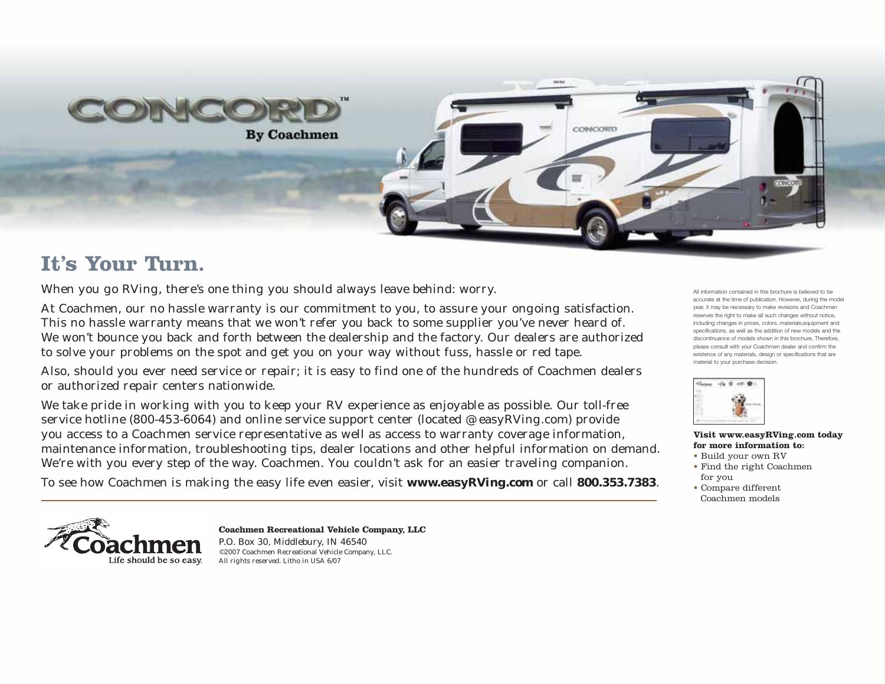

# **It's Your Turn.**

When you go RVing, there's one thing you should always leave behind: worry.

At Coachmen, our no hassle warranty is our commitment to you, to assure your ongoing satisfaction. This no hassle warranty means that we won't refer you back to some supplier you've never heard of. We won't bounce you back and forth between the dealership and the factory. Our dealers are authorized to solve your problems on the spot and get you on your way without fuss, hassle or red tape.

Also, should you ever need service or repair; it is easy to find one of the hundreds of Coachmen dealers or authorized repair centers nationwide.

We take pride in working with you to keep your RV experience as enjoyable as possible. Our toll-free service hotline (800-453-6064) and online service support center (located @ easyRVing.com) provide you access to a Coachmen service representative as well as access to warranty coverage information, maintenance information, troubleshooting tips, dealer locations and other helpful information on demand. We're with you every step of the way. Coachmen. You couldn't ask for an easier traveling companion.

To see how Coachmen is making the easy life even easier, visit **www.easyRVing.com** or call **800.353.7383**.

All information contained in this brochure is believed to be accurate at the time of publication. However, during the model year, it may be necessary to make revisions and Coachmen reserves the right to make all such changes without notice, including changes in prices, colors, materials,equipment and specifications, as well as the addition of new models and the discontinuance of models shown in this brochure. Therefore, please consult with your Coachmen dealer and confirm the existence of any materials, design or specifications that are material to your purchase decision.



### **Visit www.easyRVing.com today for more information to:**

- Build your own RV
- Find the right Coachmen for you
- Compare different Coachmen models



**Coachmen Recreational Vehicle Company, LLC**  P.O. Box 30, Middlebury, IN 46540 ©2007 Coachmen Recreational Vehicle Company, LLC. All rights reserved. Litho in USA 6/07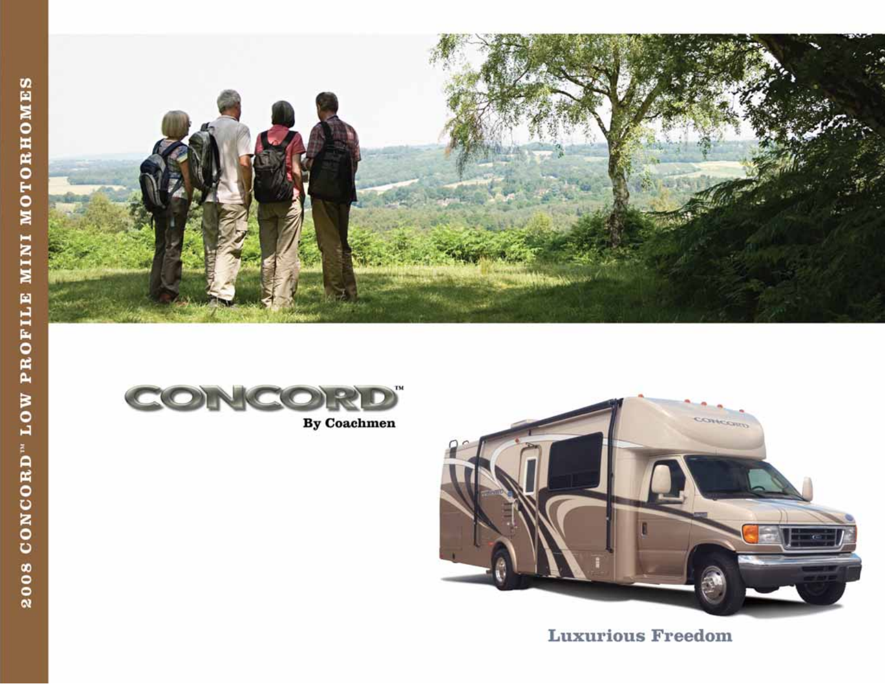



 $\mathbf{By\ Coachmen}$ 



**Luxurious Freedom**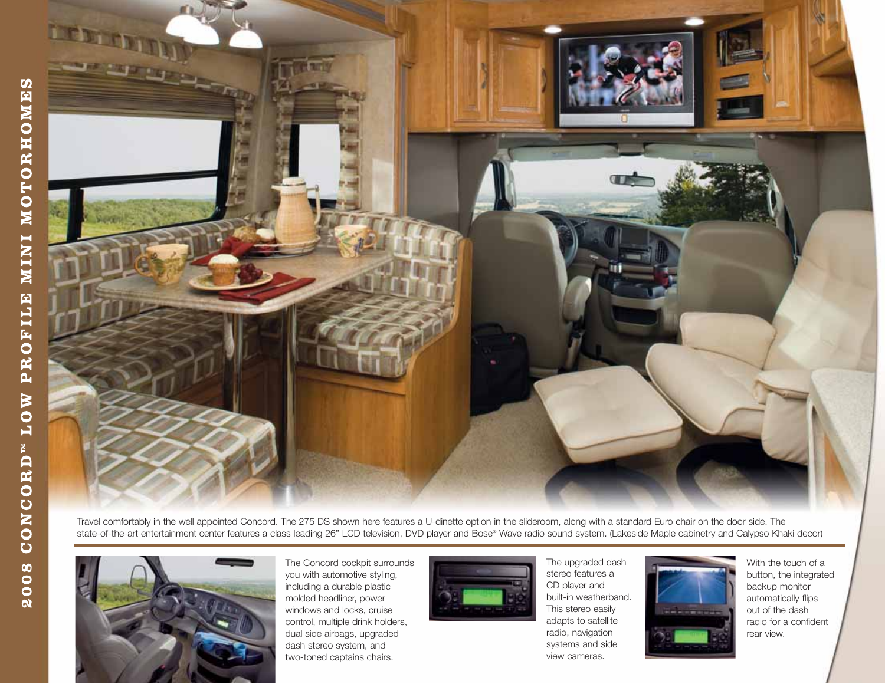

Travel comfortably in the well appointed Concord. The 275 DS shown here features a U-dinette option in the slideroom, along with a standard Euro chair on the door side. The state-of-the-art entertainment center features a class leading 26" LCD television, DVD player and Bose® Wave radio sound system. (Lakeside Maple cabinetry and Calypso Khaki decor)



The Concord cockpit surrounds you with automotive styling, including a durable plastic molded headliner, power windows and locks, cruise control, multiple drink holders, dual side airbags, upgraded dash stereo system, and two-toned captains chairs.



The upgraded dash stereo features a CD player and built-in weatherband. This stereo easily adapts to satellite radio, navigation systems and side view cameras.



With the touch of a button, the integrated backup monitor automatically flips out of the dash radio for a confident rear view.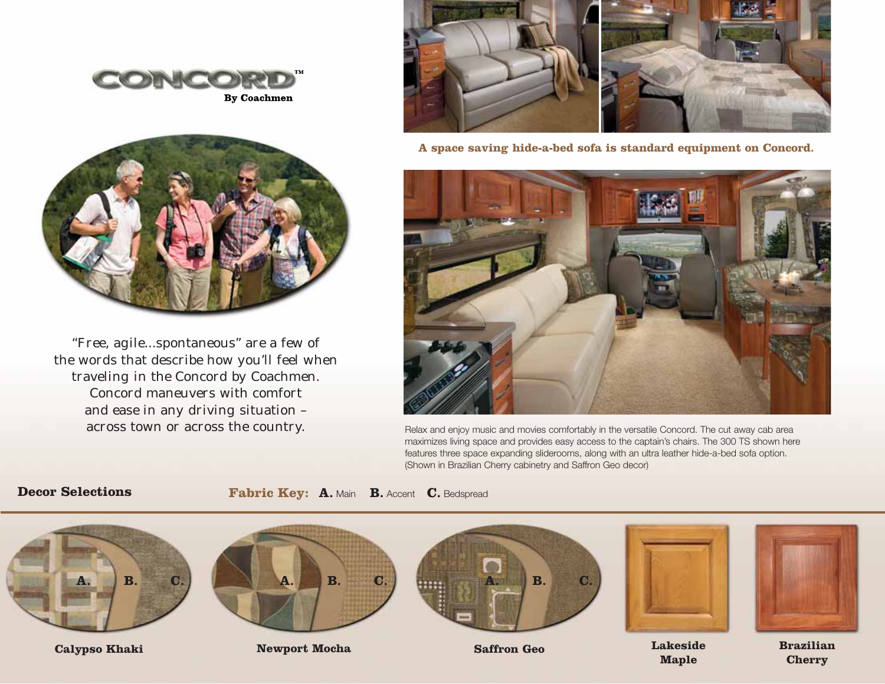



"Free, agile...spontaneous" are a few of the words that describe how you'll feel when traveling in the Concord by Coachmen. Concord maneuvers with comfort and ease in any driving situation – across town or across the country.



**A space saving hide-a-bed sofa is standard equipment on Concord.**



Relax and enjoy music and movies comfortably in the versatile Concord. The cut away cab area maximizes living space and provides easy access to the captain's chairs. The 300 TS shown here features three space expanding sliderooms, along with an ultra leather hide-a-bed sofa option. (Shown in Brazilian Cherry cabinetry and Saffron Geo decor)

### **Decor Selections**

**Fabric Key: A.** Main **B.** Accent **C.** Bedspread



**Cherry**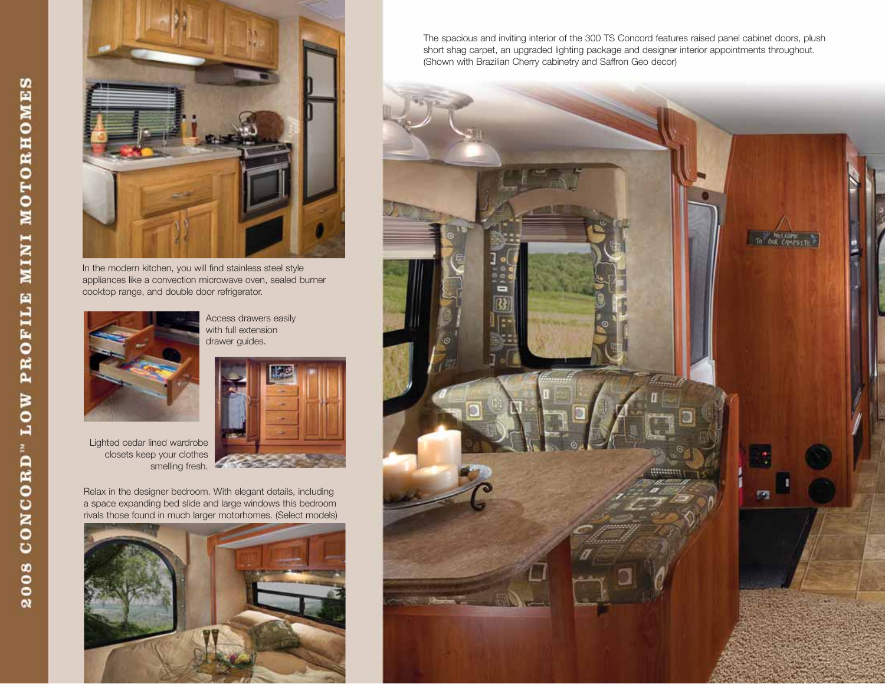

In the modern kitchen, you will find stainless steel style appliances like a convection microwave oven, sealed burner cooktop range, and double door refrigerator.



Access drawers easily with full extension drawer guides.



Lighted cedar lined wardrobe closets keep your clothes smelling fresh.

Relax in the designer bedroom. With elegant details, including a space expanding bed slide and large windows this bedroom rivals those found in much larger motorhomes. (Select models)



The spacious and inviting interior of the 300 TS Concord features raised panel cabinet doors, plush short shag carpet, an upgraded lighting package and designer interior appointments throughout. (Shown with Brazilian Cherry cabinetry and Saffron Geo decor)

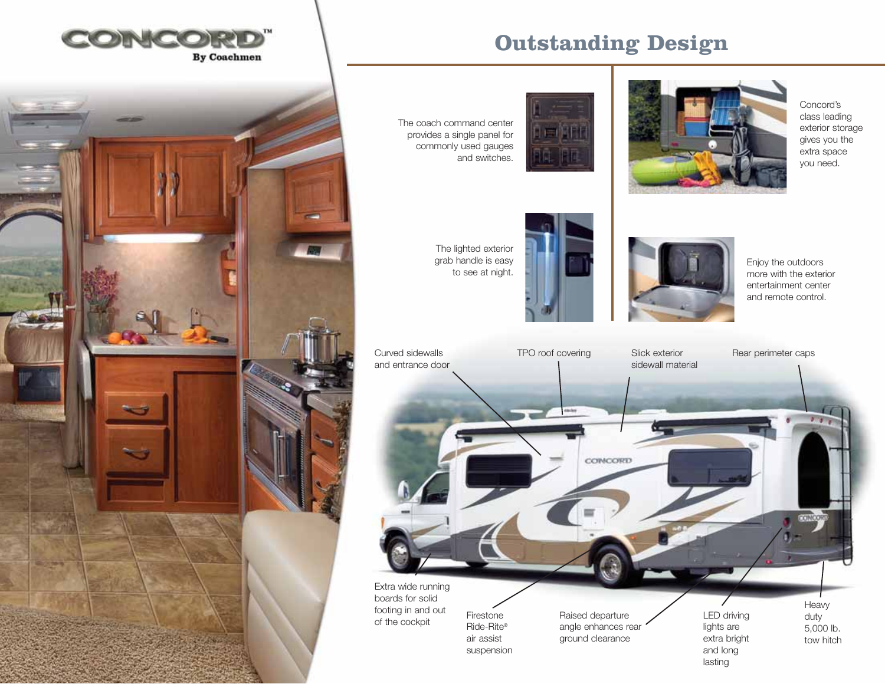





Concord's class leading exterior storage gives you the extra space you need.

The coach command center provides a single panel for commonly used gauges and switches.



The lighted exterior grab handle is easy to see at night.





Enjoy the outdoors more with the exterior entertainment center and remote control.



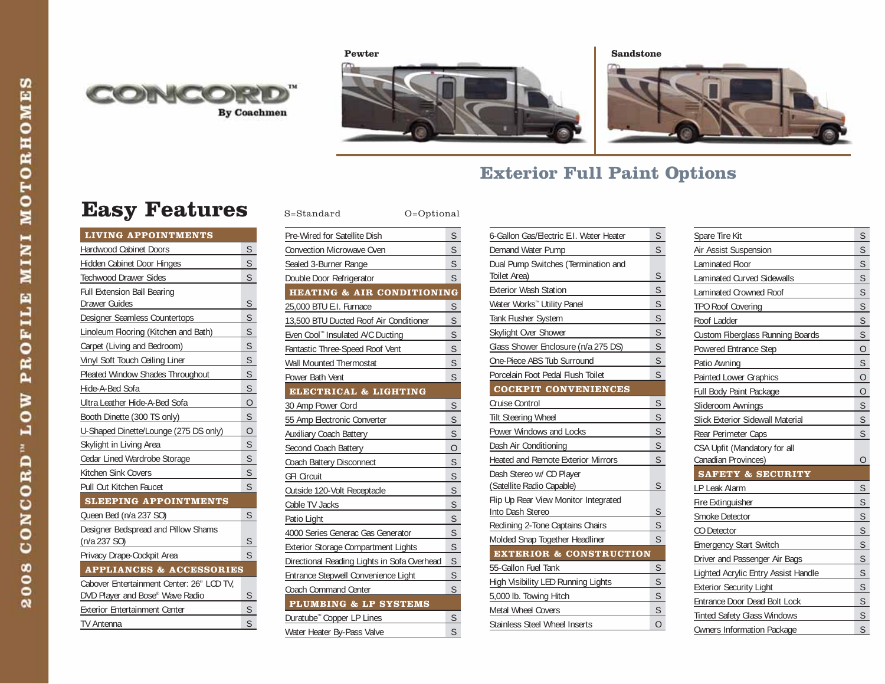





## **Exterior Full Paint Options**

# **Easy Features** S=Standard O=Optional

| <b>LIVING APPOINTMENTS</b>                |                         |
|-------------------------------------------|-------------------------|
| <b>Hardwood Cabinet Doors</b>             | S                       |
| Hidden Cabinet Door Hinges                | S                       |
| <b>Techwood Drawer Sides</b>              | $\mathsf{S}$            |
| <b>Full Extension Ball Bearing</b>        |                         |
| Drawer Guides                             | S                       |
| Designer Seamless Countertops             | S                       |
| Linoleum Flooring (Kitchen and Bath)      | S                       |
| Carpet (Living and Bedroom)               | $\mathsf{S}$            |
| Vinyl Soft Touch Ceiling Liner            | S                       |
| Pleated Window Shades Throughout          | S                       |
| Hide-A-Bed Sofa                           | S                       |
| Ultra Leather Hide-A-Bed Sofa             | $\overline{O}$          |
| Booth Dinette (300 TS only)               | S                       |
| U-Shaped Dinette/Lounge (275 DS only)     | $\overline{O}$          |
| Skylight in Living Area                   | S                       |
| Cedar Lined Wardrobe Storage              | S                       |
| Kitchen Sink Covers                       | $\overline{\mathsf{S}}$ |
| Pull Out Kitchen Faucet                   | S                       |
| <b>SLEEPING APPOINTMENTS</b>              |                         |
| Queen Bed (n/a 237 SO)                    | S                       |
| Designer Bedspread and Pillow Shams       |                         |
| (n/a 237 SO)                              | S                       |
| Privacy Drape-Cockpit Area                | S                       |
| <b>APPLIANCES &amp; ACCESSORIES</b>       |                         |
| Cabover Entertainment Center: 26" LCD TV. |                         |
| DVD Player and Bose® Wave Radio           | S                       |
| Exterior Entertainment Center             | S                       |
| <b>TV Antenna</b>                         | S                       |

| Pre-Wired for Satellite Dish                | S                       |
|---------------------------------------------|-------------------------|
| Convection Microwave Oven                   | S                       |
| Sealed 3-Burner Range                       | $\mathsf{S}$            |
| Double Door Refrigerator                    | S                       |
| <b>HEATING &amp; AIR CONDITIONING</b>       |                         |
| 25,000 BTU E.I. Furnace                     | $\overline{\mathsf{S}}$ |
| 13,500 BTU Ducted Roof Air Conditioner      | S                       |
| Even Cool™ Insulated A/C Ducting            | $\mathsf{S}$            |
| Fantastic Three-Speed Roof Vent             | S                       |
| Wall Mounted Thermostat                     | $\overline{\mathsf{S}}$ |
| Power Bath Vent                             | S                       |
| ELECTRICAL & LIGHTING                       |                         |
| 30 Amp Power Cord                           | S                       |
| 55 Amp Electronic Converter                 | S                       |
| <b>Auxiliary Coach Battery</b>              | S                       |
| Second Coach Battery                        | 0                       |
| Coach Battery Disconnect                    | S                       |
| <b>GFI Circuit</b>                          | S                       |
| Outside 120-Volt Receptacle                 | S                       |
| Cable TV Jacks                              | $\overline{\mathsf{S}}$ |
| Patio Light                                 | $\overline{\mathsf{S}}$ |
| 4000 Series Generac Gas Generator           | $\overline{\mathsf{S}}$ |
| Exterior Storage Compartment Lights         | S                       |
| Directional Reading Lights in Sofa Overhead | $\overline{\mathsf{S}}$ |
| Entrance Stepwell Convenience Light         | $\overline{\mathsf{S}}$ |
| Coach Command Center                        | S                       |
| <b>PLUMBING &amp; LP SYSTEMS</b>            |                         |
| Duratube™ Copper LP Lines                   | S                       |
| Water Heater By-Pass Valve                  | S                       |

| 6-Gallon Gas/Electric E.I. Water Heater | S                       |  |
|-----------------------------------------|-------------------------|--|
| Demand Water Pump                       | $\overline{\mathsf{S}}$ |  |
| Dual Pump Switches (Termination and     |                         |  |
| Toilet Area)                            | S                       |  |
| <b>Exterior Wash Station</b>            | S                       |  |
| Water Works <sup>™</sup> Utility Panel  | S                       |  |
| Tank Flusher System                     | S                       |  |
| Skylight Over Shower                    | S                       |  |
| Glass Shower Enclosure (n/a 275 DS)     | S                       |  |
| One-Piece ABS Tub Surround              | S                       |  |
| Porcelain Foot Pedal Flush Toilet       | S                       |  |
| <b>COCKPIT CONVENIENCES</b>             |                         |  |
| Cruise Control                          | S                       |  |
| <b>Tilt Steering Wheel</b>              | S                       |  |
| Power Windows and Locks                 | S                       |  |
| Dash Air Conditioning                   | S                       |  |
| Heated and Remote Exterior Mirrors      | S                       |  |
| Dash Stereo w/ CD Player                |                         |  |
| (Satellite Radio Capable)               | S                       |  |
| Flip Up Rear View Monitor Integrated    |                         |  |
| Into Dash Stereo                        | S                       |  |
| Reclining 2-Tone Captains Chairs        | S                       |  |
| Molded Snap Together Headliner          | $\overline{S}$          |  |
| <b>EXTERIOR &amp; CONSTRUCTION</b>      |                         |  |
| 55-Gallon Fuel Tank                     | S                       |  |
| High Visibility LED Running Lights      | S                       |  |
| 5,000 lb. Towing Hitch                  | S                       |  |
| <b>Metal Wheel Covers</b>               | S                       |  |
| <b>Stainless Steel Wheel Inserts</b>    | $\overline{O}$          |  |

| Spare Tire Kit                                      | S                       |
|-----------------------------------------------------|-------------------------|
| Air Assist Suspension                               | S                       |
| Laminated Floor                                     | S                       |
| Laminated Curved Sidewalls                          | S                       |
| Laminated Crowned Roof                              | S                       |
| <b>TPO Roof Covering</b>                            | S                       |
| Roof Ladder                                         | S                       |
| Custom Fiberglass Running Boards                    | S                       |
| Powered Entrance Step                               | $\overline{0}$          |
| Patio Awning                                        | S                       |
| Painted Lower Graphics                              | 0                       |
| Full Body Paint Package                             | $\overline{0}$          |
| Slideroom Awnings                                   | S                       |
| Slick Exterior Sidewall Material                    | S                       |
| Rear Perimeter Caps                                 | S                       |
| CSA Upfit (Mandatory for all<br>Canadian Provinces) | O                       |
| <b>SAFETY &amp; SECURITY</b>                        |                         |
| LP Leak Alarm                                       | S                       |
| Fire Extinguisher                                   | S                       |
| Smoke Detector                                      | S                       |
| CO Detector                                         | S                       |
| <b>Emergency Start Switch</b>                       | S                       |
| Driver and Passenger Air Bags                       | S                       |
| Lighted Acrylic Entry Assist Handle                 | S                       |
| <b>Exterior Security Light</b>                      | $\overline{\mathsf{S}}$ |
| Entrance Door Dead Bolt Lock                        | S                       |
| <b>Tinted Safety Glass Windows</b>                  | S                       |
| <b>Owners Information Package</b>                   | S                       |
|                                                     |                         |